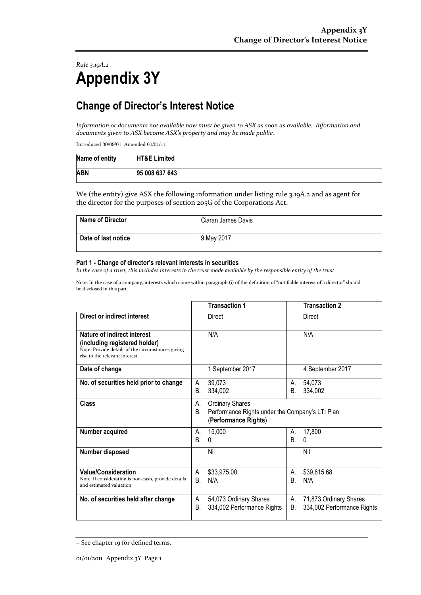*Rule 3.19A.2* **Appendix 3Y**

## **Change of Director's Interest Notice**

*Information or documents not available now must be given to ASX as soon as available. Information and documents given to ASX become ASX's property and may be made public.*

Introduced 30/09/01 Amended 01/01/11

| Name of entity | <b>HT&amp;E Limited</b> |
|----------------|-------------------------|
| <b>ABN</b>     | 95 008 637 643          |

We (the entity) give ASX the following information under listing rule 3.19A.2 and as agent for the director for the purposes of section 205G of the Corporations Act.

| Name of Director    | Ciaran James Davis |
|---------------------|--------------------|
| Date of last notice | 9 May 2017         |

## **Part 1 - Change of director's relevant interests in securities**

*In the case of a trust, this includes interests in the trust made available by the responsible entity of the trust*

Note: In the case of a company, interests which come within paragraph (i) of the definition of "notifiable interest of a director" should be disclosed in this part.

|                                                                                                                                                     |          | <b>Transaction 1</b>                                                                              |          | <b>Transaction 2</b>                                 |
|-----------------------------------------------------------------------------------------------------------------------------------------------------|----------|---------------------------------------------------------------------------------------------------|----------|------------------------------------------------------|
| Direct or indirect interest                                                                                                                         |          | Direct                                                                                            |          | Direct                                               |
| Nature of indirect interest<br>(including registered holder)<br>Note: Provide details of the circumstances giving<br>rise to the relevant interest. |          | N/A                                                                                               |          | N/A                                                  |
| Date of change                                                                                                                                      |          | 1 September 2017                                                                                  |          | 4 September 2017                                     |
| No. of securities held prior to change                                                                                                              | А.<br>В. | 39,073<br>334,002                                                                                 | А.<br>В. | 54,073<br>334,002                                    |
| <b>Class</b>                                                                                                                                        | А.<br>В. | <b>Ordinary Shares</b><br>Performance Rights under the Company's LTI Plan<br>(Performance Rights) |          |                                                      |
| Number acquired                                                                                                                                     | А.<br>Β. | 15,000<br>0                                                                                       | А.<br>В. | 17,800<br>0                                          |
| Number disposed                                                                                                                                     |          | Nil                                                                                               |          | Nil                                                  |
| <b>Value/Consideration</b><br>Note: If consideration is non-cash, provide details<br>and estimated valuation                                        | А.<br>В. | \$33,975.00<br>N/A                                                                                | А.<br>В. | \$39,615.68<br>N/A                                   |
| No. of securities held after change                                                                                                                 | А.<br>В. | 54,073 Ordinary Shares<br>334,002 Performance Rights                                              | А.<br>В. | 71,873 Ordinary Shares<br>334,002 Performance Rights |

<sup>+</sup> See chapter 19 for defined terms.